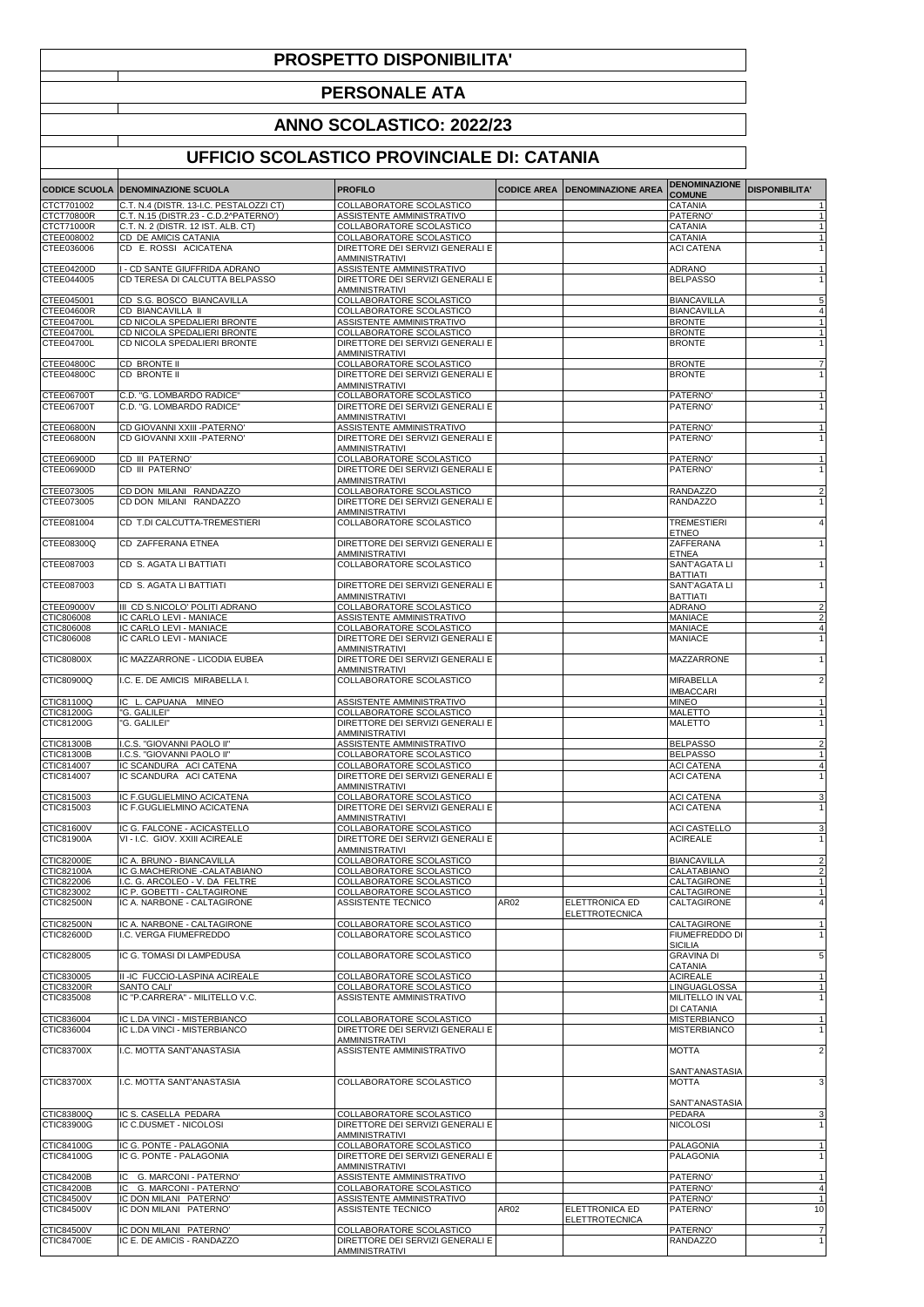## **PROSPETTO DISPONIBILITA'**

## **PERSONALE ATA**

## **ANNO SCOLASTICO: 2022/23**

## **UFFICIO SCOLASTICO PROVINCIALE DI: CATANIA**

|                                 | <b>CODICE SCUOLA   DENOMINAZIONE SCUOLA</b>                     | <b>PROFILO</b>                                                |      | <b>CODICE AREA   DENOMINAZIONE AREA</b>        | <b>DENOMINAZIONE</b><br><b>COMUNE</b>    | <b>DISPONIBILITA'</b>        |
|---------------------------------|-----------------------------------------------------------------|---------------------------------------------------------------|------|------------------------------------------------|------------------------------------------|------------------------------|
| CTCT701002                      | C.T. N.4 (DISTR. 13-I.C. PESTALOZZI CT)                         | COLLABORATORE SCOLASTICO                                      |      |                                                | <b>CATANIA</b>                           | $\mathbf 1$                  |
| <b>CTCT70800R</b>               | C.T. N.15 (DISTR.23 - C.D.2^PATERNO')                           | ASSISTENTE AMMINISTRATIVO                                     |      |                                                | PATERNO <sup>®</sup>                     | $\overline{1}$               |
| CTCT71000R<br>CTEE008002        | C.T. N. 2 (DISTR. 12 IST. ALB. CT)<br>CD DE AMICIS CATANIA      | COLLABORATORE SCOLASTICO<br>COLLABORATORE SCOLASTICO          |      |                                                | <b>CATANIA</b><br>CATANIA                | $\mathbf{1}$                 |
| CTEE036006                      | CD E. ROSSI ACICATENA                                           | DIRETTORE DEI SERVIZI GENERALI E                              |      |                                                | <b>ACI CATENA</b>                        | $\mathbf{1}$                 |
|                                 |                                                                 | <b>AMMINISTRATIVI</b>                                         |      |                                                |                                          |                              |
| CTEE04200D<br>CTEE044005        | I - CD SANTE GIUFFRIDA ADRANO<br>CD TERESA DI CALCUTTA BELPASSO | ASSISTENTE AMMINISTRATIVO<br>DIRETTORE DEI SERVIZI GENERALI E |      |                                                | <b>ADRANO</b><br><b>BELPASSO</b>         | $\mathbf{1}$<br>$\mathbf{1}$ |
|                                 |                                                                 | AMMINISTRATIVI                                                |      |                                                |                                          |                              |
| CTEE045001                      | CD S.G. BOSCO BIANCAVILLA                                       | COLLABORATORE SCOLASTICO                                      |      |                                                | <b>BIANCAVILLA</b>                       | 5                            |
| CTEE04600R                      | CD BIANCAVILLA II                                               | COLLABORATORE SCOLASTICO                                      |      |                                                | <b>BIANCAVILLA</b>                       | 4                            |
| <b>CTEE04700L</b><br>CTEE04700L | CD NICOLA SPEDALIERI BRONTE<br>CD NICOLA SPEDALIERI BRONTE      | ASSISTENTE AMMINISTRATIVO<br>COLLABORATORE SCOLASTICO         |      |                                                | <b>BRONTE</b><br><b>BRONTE</b>           | $\mathbf{1}$<br>-1           |
| CTEE04700L                      | CD NICOLA SPEDALIERI BRONTE                                     | DIRETTORE DEI SERVIZI GENERALI E                              |      |                                                | <b>BRONTE</b>                            | $\overline{1}$               |
|                                 |                                                                 | <b>AMMINISTRATIVI</b>                                         |      |                                                |                                          |                              |
| CTEE04800C<br>CTEE04800C        | CD BRONTE II<br>CD BRONTE II                                    | COLLABORATORE SCOLASTICO<br>DIRETTORE DEI SERVIZI GENERALI E  |      |                                                | <b>BRONTE</b><br><b>BRONTE</b>           | 7<br>$\mathbf{1}$            |
|                                 |                                                                 | AMMINISTRATIVI                                                |      |                                                |                                          |                              |
| CTEE06700T                      | C.D. "G. LOMBARDO RADICE"                                       | COLLABORATORE SCOLASTICO                                      |      |                                                | PATERNO <sup>®</sup>                     |                              |
| CTEE06700T                      | C.D. "G. LOMBARDO RADICE"                                       | DIRETTORE DEI SERVIZI GENERALI E<br><b>AMMINISTRATIVI</b>     |      |                                                | PATERNO'                                 | $\mathbf{1}$                 |
| CTEE06800N                      | CD GIOVANNI XXIII - PATERNO'                                    | ASSISTENTE AMMINISTRATIVO                                     |      |                                                | PATERNO'                                 | $\mathbf{1}$                 |
| CTEE06800N                      | CD GIOVANNI XXIII - PATERNO'                                    | DIRETTORE DEI SERVIZI GENERALI E                              |      |                                                | PATERNO'                                 | $\mathbf{1}$                 |
|                                 |                                                                 | <b>AMMINISTRATIVI</b>                                         |      |                                                |                                          |                              |
| CTEE06900D<br>CTEE06900D        | CD III PATERNO'<br>CD III PATERNO'                              | COLLABORATORE SCOLASTICO<br>DIRETTORE DEI SERVIZI GENERALI E  |      |                                                | PATERNO'<br>PATERNO'                     | $\mathbf{1}$                 |
|                                 |                                                                 | AMMINISTRATIVI                                                |      |                                                |                                          |                              |
| CTEE073005                      | CD DON MILANI RANDAZZO                                          | COLLABORATORE SCOLASTICO                                      |      |                                                | <b>RANDAZZO</b>                          | $\overline{a}$               |
| CTEE073005                      | CD DON MILANI RANDAZZO                                          | DIRETTORE DEI SERVIZI GENERALI E                              |      |                                                | <b>RANDAZZO</b>                          | $\mathbf{1}$                 |
| CTEE081004                      | CD T.DI CALCUTTA-TREMESTIERI                                    | <b>AMMINISTRATIVI</b><br>COLLABORATORE SCOLASTICO             |      |                                                | <b>TREMESTIERI</b>                       | 4                            |
|                                 |                                                                 |                                                               |      |                                                | <b>ETNEO</b>                             |                              |
| CTEE08300Q                      | CD ZAFFERANA ETNEA                                              | DIRETTORE DEI SERVIZI GENERALI E                              |      |                                                | ZAFFERANA                                |                              |
| CTEE087003                      | CD S. AGATA LI BATTIATI                                         | AMMINISTRATIVI<br>COLLABORATORE SCOLASTICO                    |      |                                                | <b>ETNEA</b><br>SANT'AGATA LI            | 1                            |
|                                 |                                                                 |                                                               |      |                                                | <b>BATTIATI</b>                          |                              |
| CTEE087003                      | CD S. AGATA LI BATTIATI                                         | DIRETTORE DEI SERVIZI GENERALI E                              |      |                                                | SANT'AGATA LI                            | 1                            |
| <b>CTEE09000V</b>               | III CD S.NICOLO' POLITI ADRANO                                  | AMMINISTRATIVI<br>COLLABORATORE SCOLASTICO                    |      |                                                | <b>BATTIATI</b><br><b>ADRANO</b>         | 2                            |
| CTIC806008                      | IC CARLO LEVI - MANIACE                                         | ASSISTENTE AMMINISTRATIVO                                     |      |                                                | <b>MANIACE</b>                           | 2                            |
| CTIC806008                      | IC CARLO LEVI - MANIACE                                         | COLLABORATORE SCOLASTICO                                      |      |                                                | <b>MANIACE</b>                           | 4                            |
| CTIC806008                      | IC CARLO LEVI - MANIACE                                         | DIRETTORE DEI SERVIZI GENERALI E                              |      |                                                | <b>MANIACE</b>                           |                              |
| <b>CTIC80800X</b>               | IC MAZZARRONE - LICODIA EUBEA                                   | AMMINISTRATIVI<br>DIRETTORE DEI SERVIZI GENERALI E            |      |                                                | MAZZARRONE                               | $\mathbf{1}$                 |
|                                 |                                                                 | <b>AMMINISTRATIVI</b>                                         |      |                                                |                                          |                              |
| CTIC80900Q                      | I.C. E. DE AMICIS MIRABELLA I.                                  | COLLABORATORE SCOLASTICO                                      |      |                                                | <b>MIRABELLA</b><br><b>IMBACCARI</b>     | $\overline{a}$               |
| CTIC81100Q                      | IC L. CAPUANA MINEO                                             | ASSISTENTE AMMINISTRATIVO                                     |      |                                                | <b>MINEO</b>                             | $\overline{1}$               |
| CTIC81200G                      | "G. GALILEI"                                                    | COLLABORATORE SCOLASTICO                                      |      |                                                | <b>MALETTO</b>                           |                              |
| CTIC81200G                      | "G. GALILEI"                                                    | DIRETTORE DEI SERVIZI GENERALI E                              |      |                                                | <b>MALETTO</b>                           | $\mathbf{1}$                 |
| CTIC81300B                      | I.C.S. "GIOVANNI PAOLO II"                                      | AMMINISTRATIVI<br>ASSISTENTE AMMINISTRATIVO                   |      |                                                | <b>BELPASSO</b>                          |                              |
| CTIC81300B                      | I.C.S. "GIOVANNI PAOLO II"                                      | COLLABORATORE SCOLASTICO                                      |      |                                                | <b>BELPASSO</b>                          | $\mathbf{1}$                 |
| CTIC814007                      | IC SCANDURA_ACI CATENA                                          | COLLABORATORE SCOLASTICO                                      |      |                                                | <b>ACI CATENA</b>                        | $\overline{4}$               |
| CTIC814007                      | IC SCANDURA ACI CATENA                                          | DIRETTORE DEI SERVIZI GENERALI E<br>AMMINISTRATIVI            |      |                                                | <b>ACI CATENA</b>                        |                              |
| CTIC815003                      | IC F.GUGLIELMINO ACICATENA                                      | COLLABORATORE SCOLASTICO                                      |      |                                                | <b>ACI CATENA</b>                        | 3                            |
| CTIC815003                      | IC F.GUGLIELMINO ACICATENA                                      | DIRETTORE DEI SERVIZI GENERALI E                              |      |                                                | <b>ACI CATENA</b>                        | 1                            |
|                                 |                                                                 | AMMINISTRATIVI                                                |      |                                                |                                          |                              |
| CTIC81600V<br>CTIC81900A        | IC G. FALCONE - ACICASTELLO<br>VI - I.C. GIOV. XXIII ACIREALE   | COLLABORATORE SCOLASTICO<br>DIRETTORE DEI SERVIZI GENERALI E  |      |                                                | <b>ACI CASTELLO</b><br><b>ACIREALE</b>   | 3<br>1                       |
|                                 |                                                                 | AMMINISTRATIVI                                                |      |                                                |                                          |                              |
| CTIC82000E                      | IC A. BRUNO - BIANCAVILLA                                       | COLLABORATORE SCOLASTICO                                      |      |                                                | <b>BIANCAVILLA</b>                       |                              |
| CTIC82100A<br>CTIC822006        | IC G.MACHERIONE -CALATABIANO<br>I.C. G. ARCOLEO - V. DA FELTRE  | COLLABORATORE SCOLASTICO<br>COLLABORATORE SCOLASTICO          |      |                                                | CALATABIANO<br>CALTAGIRONE               | $\mathbf{1}$                 |
| CTIC823002                      | IC P. GOBETTI - CALTAGIRONE                                     | COLLABORATORE SCOLASTICO                                      |      |                                                | CALTAGIRONE                              | $\overline{1}$               |
| CTIC82500N                      | IC A. NARBONE - CALTAGIRONE                                     | ASSISTENTE TECNICO                                            | AR02 | ELETTRONICA ED                                 | CALTAGIRONE                              | 4                            |
|                                 |                                                                 |                                                               |      | <b>ELETTROTECNICA</b>                          |                                          |                              |
| CTIC82500N<br>CTIC82600D        | IC A. NARBONE - CALTAGIRONE<br>I.C. VERGA FIUMEFREDDO           | COLLABORATORE SCOLASTICO<br>COLLABORATORE SCOLASTICO          |      |                                                | CALTAGIRONE<br><b>FIUMEFREDDO DI</b>     | -1<br>$\overline{1}$         |
|                                 |                                                                 |                                                               |      |                                                | <b>SICILIA</b>                           |                              |
| CTIC828005                      | IC G. TOMASI DI LAMPEDUSA                                       | COLLABORATORE SCOLASTICO                                      |      |                                                | <b>GRAVINA DI</b>                        | 5                            |
| CTIC830005                      | II -IC FUCCIO-LASPINA ACIREALE                                  | COLLABORATORE SCOLASTICO                                      |      |                                                | CATANIA<br><b>ACIREALE</b>               | $\mathbf{1}$                 |
| CTIC83200R                      | <b>SANTO CALI</b>                                               | COLLABORATORE SCOLASTICO                                      |      |                                                | <b>LINGUAGLOSSA</b>                      | $\mathbf{1}$                 |
| CTIC835008                      | IC "P.CARRERA" - MILITELLO V.C.                                 | ASSISTENTE AMMINISTRATIVO                                     |      |                                                | MILITELLO IN VAL                         | $\mathbf{1}$                 |
| CTIC836004                      |                                                                 |                                                               |      |                                                | <b>DI CATANIA</b><br><b>MISTERBIANCO</b> | 1                            |
| CTIC836004                      | IC L.DA VINCI - MISTERBIANCO<br>IC L.DA VINCI - MISTERBIANCO    | COLLABORATORE SCOLASTICO<br>DIRETTORE DEI SERVIZI GENERALI E  |      |                                                | <b>MISTERBIANCO</b>                      | $\mathbf{1}$                 |
|                                 |                                                                 | <b>AMMINISTRATIVI</b>                                         |      |                                                |                                          |                              |
| <b>CTIC83700X</b>               | I.C. MOTTA SANT'ANASTASIA                                       | ASSISTENTE AMMINISTRATIVO                                     |      |                                                | <b>MOTTA</b>                             | $\overline{a}$               |
|                                 |                                                                 |                                                               |      |                                                | SANT'ANASTASIA                           |                              |
| <b>CTIC83700X</b>               | I.C. MOTTA SANT'ANASTASIA                                       | COLLABORATORE SCOLASTICO                                      |      |                                                | <b>MOTTA</b>                             | 3                            |
|                                 |                                                                 |                                                               |      |                                                |                                          |                              |
|                                 |                                                                 |                                                               |      |                                                | SANT'ANASTASIA<br>PEDARA                 |                              |
| CTIC83800Q<br>CTIC83900G        | IC S. CASELLA PEDARA<br>IC C.DUSMET - NICOLOSI                  | COLLABORATORE SCOLASTICO<br>DIRETTORE DEI SERVIZI GENERALI E  |      |                                                | <b>NICOLOSI</b>                          | 3<br>$\mathbf{1}$            |
|                                 |                                                                 | <b>AMMINISTRATIVI</b>                                         |      |                                                |                                          |                              |
| CTIC84100G                      | IC G. PONTE - PALAGONIA                                         | COLLABORATORE SCOLASTICO                                      |      |                                                | PALAGONIA                                | $\mathbf{1}$                 |
| CTIC84100G                      | IC G. PONTE - PALAGONIA                                         | DIRETTORE DEI SERVIZI GENERALI E<br><b>AMMINISTRATIVI</b>     |      |                                                | PALAGONIA                                | $\mathbf{1}$                 |
| CTIC84200B                      | IC G. MARCONI - PATERNO'                                        | ASSISTENTE AMMINISTRATIVO                                     |      |                                                | PATERNO'                                 |                              |
| CTIC84200B                      | IC G. MARCONI - PATERNO'                                        | COLLABORATORE SCOLASTICO                                      |      |                                                | PATERNO'                                 | $\overline{4}$               |
| CTIC84500V                      | IC DON MILANI PATERNO'                                          | ASSISTENTE AMMINISTRATIVO                                     |      |                                                | PATERNO'                                 | $\mathbf{1}$                 |
| <b>CTIC84500V</b>               | IC DON MILANI PATERNO'                                          | ASSISTENTE TECNICO                                            | AR02 | <b>ELETTRONICA ED</b><br><b>ELETTROTECNICA</b> | PATERNO'                                 | 10                           |
| CTIC84500V                      | IC DON MILANI PATERNO'                                          | COLLABORATORE SCOLASTICO                                      |      |                                                | PATERNO'                                 | $\overline{7}$               |
| <b>CTIC84700E</b>               | IC E. DE AMICIS - RANDAZZO                                      | DIRETTORE DEI SERVIZI GENERALI E                              |      |                                                | RANDAZZO                                 | $\overline{1}$               |
|                                 |                                                                 | AMMINISTRATIVI                                                |      |                                                |                                          |                              |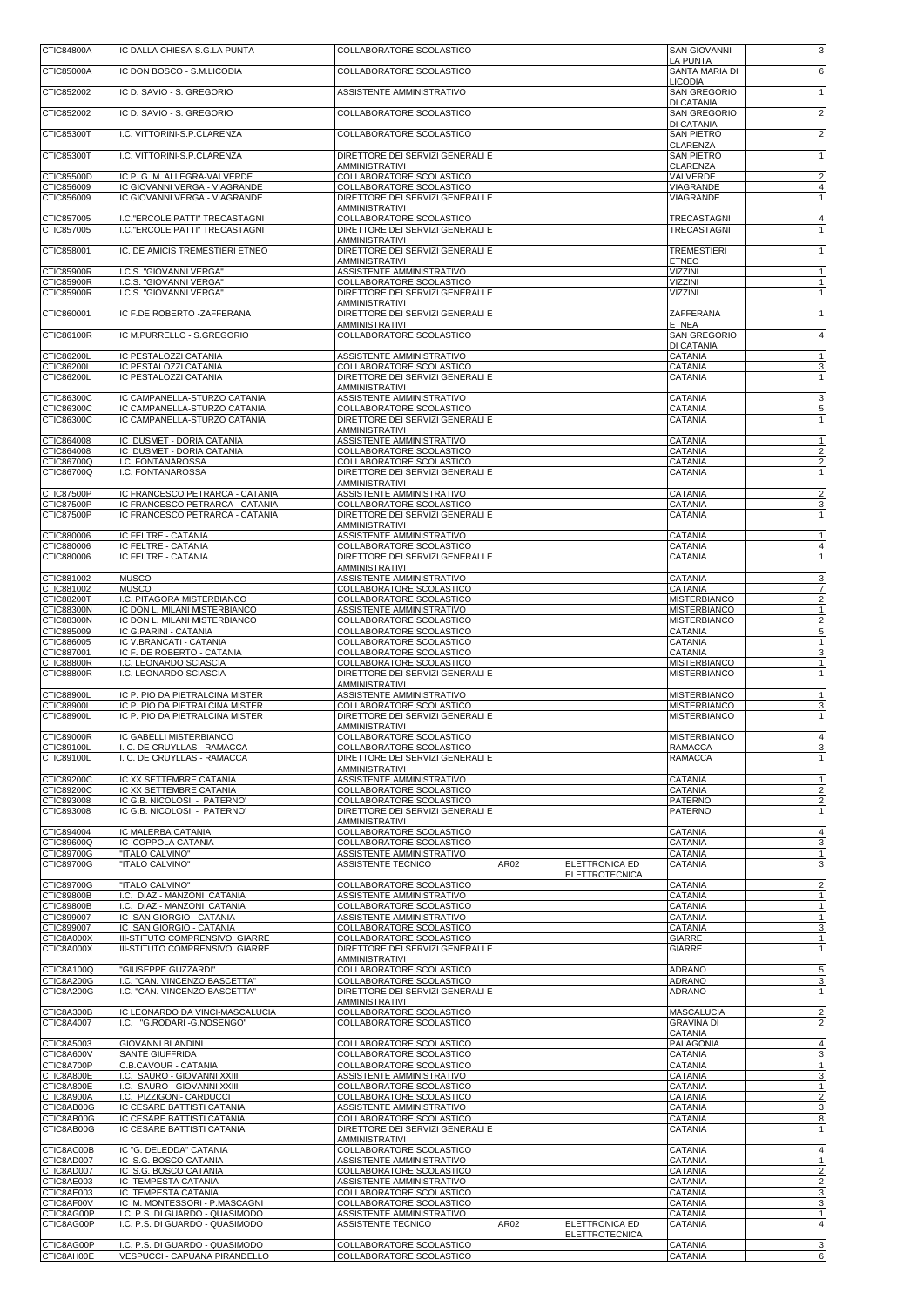| CTIC84800A                             | IC DALLA CHIESA-S.G.LA PUNTA                                       | COLLABORATORE SCOLASTICO                                            |      |                       | <b>SAN GIOVANNI</b><br>LA PUNTA            | 3                                         |
|----------------------------------------|--------------------------------------------------------------------|---------------------------------------------------------------------|------|-----------------------|--------------------------------------------|-------------------------------------------|
| CTIC85000A                             | IC DON BOSCO - S.M.LICODIA                                         | COLLABORATORE SCOLASTICO                                            |      |                       | SANTA MARIA DI                             | 6                                         |
| CTIC852002                             | IC D. SAVIO - S. GREGORIO                                          | ASSISTENTE AMMINISTRATIVO                                           |      |                       | <b>LICODIA</b><br><b>SAN GREGORIO</b>      | $\mathbf{1}$                              |
| CTIC852002                             | IC D. SAVIO - S. GREGORIO                                          | COLLABORATORE SCOLASTICO                                            |      |                       | DI CATANIA<br>SAN GREGORIO                 | $\overline{2}$                            |
| CTIC85300T                             | I.C. VITTORINI-S.P.CLARENZA                                        | COLLABORATORE SCOLASTICO                                            |      |                       | DI CATANIA<br><b>SAN PIETRO</b>            | $\overline{2}$                            |
|                                        |                                                                    |                                                                     |      |                       | CLARENZA                                   |                                           |
| CTIC85300T                             | I.C. VITTORINI-S.P.CLARENZA                                        | DIRETTORE DEI SERVIZI GENERALI E<br>AMMINISTRATIVI                  |      |                       | <b>SAN PIETRO</b><br>CLARENZA              | $\mathbf{1}$                              |
| CTIC85500D<br>CTIC856009               | IC P. G. M. ALLEGRA-VALVERDE<br>IC GIOVANNI VERGA - VIAGRANDE      | COLLABORATORE SCOLASTICO<br>COLLABORATORE SCOLASTICO                |      |                       | VALVERDE<br>VIAGRANDE                      | $\overline{2}$<br>$\overline{4}$          |
| CTIC856009                             | IC GIOVANNI VERGA - VIAGRANDE                                      | DIRETTORE DEI SERVIZI GENERALI E                                    |      |                       | VIAGRANDE                                  | 1                                         |
| CTIC857005                             | I.C."ERCOLE PATTI" TRECASTAGNI                                     | <b>AMMINISTRATIVI</b><br>COLLABORATORE SCOLASTICO                   |      |                       | TRECASTAGNI                                | $\overline{4}$                            |
| CTIC857005                             | I.C."ERCOLE PATTI" TRECASTAGNI                                     | DIRETTORE DEI SERVIZI GENERALI E                                    |      |                       | TRECASTAGNI                                |                                           |
| CTIC858001                             | IC. DE AMICIS TREMESTIERI ETNEO                                    | <b>AMMINISTRATIVI</b><br>DIRETTORE DEI SERVIZI GENERALI E           |      |                       | <b>TREMESTIERI</b>                         | $\mathbf{1}$                              |
| <b>CTIC85900R</b>                      | I.C.S. "GIOVANNI VERGA"                                            | <b>AMMINISTRATIVI</b><br>ASSISTENTE AMMINISTRATIVO                  |      |                       | <b>ETNEO</b><br><b>VIZZINI</b>             | $\mathbf{1}$                              |
| CTIC85900R                             | I.C.S. "GIOVANNI VERGA"                                            | COLLABORATORE SCOLASTICO                                            |      |                       | VIZZINI                                    | $\mathbf{1}$                              |
| <b>CTIC85900R</b>                      | I.C.S. "GIOVANNI VERGA"                                            | DIRETTORE DEI SERVIZI GENERALI E<br><b>AMMINISTRATIVI</b>           |      |                       | <b>VIZZINI</b>                             | $\mathbf{1}$                              |
| CTIC860001                             | IC F.DE ROBERTO - ZAFFERANA                                        | DIRETTORE DEI SERVIZI GENERALI E<br><b>AMMINISTRATIVI</b>           |      |                       | ZAFFERANA<br>ETNEA                         | 1                                         |
| CTIC86100R                             | IC M.PURRELLO - S.GREGORIO                                         | COLLABORATORE SCOLASTICO                                            |      |                       | <b>SAN GREGORIO</b>                        | $\overline{4}$                            |
| CTIC86200L                             | IC PESTALOZZI CATANIA                                              | ASSISTENTE AMMINISTRATIVO                                           |      |                       | DI CATANIA<br>CATANIA                      |                                           |
| CTIC86200L<br><b>CTIC86200L</b>        | IC PESTALOZZI CATANIA<br>IC PESTALOZZI CATANIA                     | COLLABORATORE SCOLASTICO<br>DIRETTORE DEI SERVIZI GENERALI E        |      |                       | CATANIA<br><b>CATANIA</b>                  | 3                                         |
|                                        |                                                                    | <b>AMMINISTRATIVI</b>                                               |      |                       |                                            |                                           |
| CTIC86300C<br>CTIC86300C               | IC CAMPANELLA-STURZO CATANIA<br>IC CAMPANELLA-STURZO CATANIA       | ASSISTENTE AMMINISTRATIVO<br>COLLABORATORE SCOLASTICO               |      |                       | <b>CATANIA</b><br>CATANIA                  | 3<br>5                                    |
| CTIC86300C                             | IC CAMPANELLA-STURZO CATANIA                                       | DIRETTORE DEI SERVIZI GENERALI E<br><b>AMMINISTRATIVI</b>           |      |                       | <b>CATANIA</b>                             | $\mathbf{1}$                              |
| CTIC864008                             | IC DUSMET - DORIA CATANIA                                          | ASSISTENTE AMMINISTRATIVO                                           |      |                       | CATANIA                                    | 1                                         |
| CTIC864008<br>CTIC86700Q               | IC DUSMET - DORIA CATANIA<br>I.C. FONTANAROSSA                     | COLLABORATORE SCOLASTICO<br>COLLABORATORE SCOLASTICO                |      |                       | CATANIA<br>CATANIA                         | $\overline{2}$<br>$\overline{2}$          |
| CTIC86700Q                             | I.C. FONTANAROSSA                                                  | DIRETTORE DEI SERVIZI GENERALI E                                    |      |                       | <b>CATANIA</b>                             | $\mathbf{1}$                              |
| <b>CTIC87500P</b>                      | IC FRANCESCO PETRARCA - CATANIA                                    | <b>AMMINISTRATIVI</b><br>ASSISTENTE AMMINISTRATIVO                  |      |                       | CATANIA                                    | $\overline{2}$                            |
| <b>CTIC87500P</b><br><b>CTIC87500P</b> | IC FRANCESCO PETRARCA - CATANIA<br>IC FRANCESCO PETRARCA - CATANIA | COLLABORATORE SCOLASTICO<br>DIRETTORE DEI SERVIZI GENERALI E        |      |                       | CATANIA<br><b>CATANIA</b>                  | 3<br>1                                    |
|                                        |                                                                    | <b>AMMINISTRATIVI</b>                                               |      |                       |                                            |                                           |
| CTIC880006<br>CTIC880006               | IC FELTRE - CATANIA<br>IC FELTRE - CATANIA                         | ASSISTENTE AMMINISTRATIVO<br>COLLABORATORE SCOLASTICO               |      |                       | <b>CATANIA</b><br>CATANIA                  | $\overline{1}$<br>$\overline{4}$          |
| CTIC880006                             | IC FELTRE - CATANIA                                                | DIRETTORE DEI SERVIZI GENERALI E<br><b>AMMINISTRATIVI</b>           |      |                       | CATANIA                                    | 1                                         |
| CTIC881002                             | <b>MUSCO</b>                                                       | ASSISTENTE AMMINISTRATIVO                                           |      |                       | CATANIA                                    | 3                                         |
| CTIC881002<br>CTIC88200T               | <b>MUSCO</b><br>I.C. PITAGORA MISTERBIANCO                         | COLLABORATORE SCOLASTICO<br>COLLABORATORE SCOLASTICO                |      |                       | CATANIA<br><b>MISTERBIANCO</b>             | $\overline{7}$<br>$\overline{\mathbf{c}}$ |
| <b>CTIC88300N</b>                      | IC DON L. MILANI MISTERBIANCO                                      | ASSISTENTE AMMINISTRATIVO                                           |      |                       | <b>MISTERBIANCO</b>                        | $\overline{1}$                            |
| <b>CTIC88300N</b><br>CTIC885009        | IC DON L. MILANI MISTERBIANCO<br>IC G.PARINI - CATANIA             | COLLABORATORE SCOLASTICO<br>COLLABORATORE SCOLASTICO                |      |                       | <b>MISTERBIANCO</b><br>CATANIA             | $\overline{\mathbf{c}}$<br>5              |
| CTIC886005<br>CTIC887001               | IC V.BRANCATI - CATANIA<br>IC F. DE ROBERTO - CATANIA              | COLLABORATORE SCOLASTICO<br>COLLABORATORE SCOLASTICO                |      |                       | CATANIA<br>CATANIA                         | 1<br>3                                    |
| <b>CTIC88800R</b>                      | I.C. LEONARDO SCIASCIA                                             | COLLABORATORE SCOLASTICO                                            |      |                       | <b>MISTERBIANCO</b>                        | $\mathbf{1}$                              |
| <b>CTIC88800R</b>                      | I.C. LEONARDO SCIASCIA                                             | DIRETTORE DEI SERVIZI GENERALI E<br><b>AMMINISTRATIVI</b>           |      |                       | <b>MISTERBIANCO</b>                        | 1                                         |
| <b>CTIC88900L</b><br>CTIC88900L        | IC P. PIO DA PIETRALCINA MISTER<br>IC P. PIO DA PIETRALCINA MISTER | ASSISTENTE AMMINISTRATIVO<br>COLLABORATORE SCOLASTICO               |      |                       | <b>MISTERBIANCO</b><br><b>MISTERBIANCO</b> | $\mathbf{1}$<br>3                         |
| <b>CTIC88900L</b>                      | IC P. PIO DA PIETRALCINA MISTER                                    | DIRETTORE DEI SERVIZI GENERALI E                                    |      |                       | <b>MISTERBIANCO</b>                        |                                           |
| <b>CTIC89000R</b>                      | IC GABELLI MISTERBIANCO                                            | <b>AMMINISTRATIVI</b><br>COLLABORATORE SCOLASTICO                   |      |                       | <b>MISTERBIANCO</b>                        | $\overline{4}$                            |
| CTIC89100L<br>CTIC89100L               | I. C. DE CRUYLLAS - RAMACCA<br>I. C. DE CRUYLLAS - RAMACCA         | <b>COLLABORATORE SCOLASTICO</b><br>DIRETTORE DEI SERVIZI GENERALI E |      |                       | <b>RAMACCA</b><br><b>RAMACCA</b>           | 3                                         |
|                                        |                                                                    | <b>AMMINISTRATIVI</b>                                               |      |                       |                                            |                                           |
| CTIC89200C<br>CTIC89200C               | IC XX SETTEMBRE CATANIA<br>IC XX SETTEMBRE CATANIA                 | ASSISTENTE AMMINISTRATIVO<br>COLLABORATORE SCOLASTICO               |      |                       | CATANIA<br>CATANIA                         | $\mathbf{1}$<br>$\overline{2}$            |
| CTIC893008<br>CTIC893008               | IC G.B. NICOLOSI - PATERNO'<br>IC G.B. NICOLOSI - PATERNO'         | COLLABORATORE SCOLASTICO<br>DIRETTORE DEI SERVIZI GENERALI E        |      |                       | PATERNO'<br>PATERNO'                       | $\overline{2}$<br>1                       |
|                                        |                                                                    | <b>AMMINISTRATIVI</b>                                               |      |                       |                                            |                                           |
| CTIC894004<br>CTIC89600Q               | IC MALERBA CATANIA<br>IC COPPOLA CATANIA                           | COLLABORATORE SCOLASTICO<br>COLLABORATORE SCOLASTICO                |      |                       | CATANIA<br><b>CATANIA</b>                  | $\overline{4}$<br>3                       |
| CTIC89700G<br>CTIC89700G               | "ITALO CALVINO"<br>"ITALO CALVINO"                                 | ASSISTENTE AMMINISTRATIVO<br>ASSISTENTE TECNICO                     | AR02 | ELETTRONICA ED        | CATANIA<br>CATANIA                         | 1<br>3                                    |
|                                        |                                                                    |                                                                     |      | <b>ELETTROTECNICA</b> |                                            |                                           |
| CTIC89700G<br><b>CTIC89800B</b>        | "ITALO CALVINO"<br>I.C. DIAZ - MANZONI CATANIA                     | COLLABORATORE SCOLASTICO<br>ASSISTENTE AMMINISTRATIVO               |      |                       | CATANIA<br><b>CATANIA</b>                  | $\overline{2}$<br>$\mathbf{1}$            |
| <b>CTIC89800B</b><br>CTIC899007        | I.C. DIAZ - MANZONI CATANIA<br>IC SAN GIORGIO - CATANIA            | COLLABORATORE SCOLASTICO<br>ASSISTENTE AMMINISTRATIVO               |      |                       | CATANIA<br><b>CATANIA</b>                  | 1<br>$\mathbf{1}$                         |
| CTIC899007                             | IC SAN GIORGIO - CATANIA                                           | COLLABORATORE SCOLASTICO                                            |      |                       | CATANIA                                    | 3                                         |
| CTIC8A000X<br>CTIC8A000X               | III-STITUTO COMPRENSIVO GIARRE<br>III-STITUTO COMPRENSIVO GIARRE   | COLLABORATORE SCOLASTICO<br>DIRETTORE DEI SERVIZI GENERALI E        |      |                       | GIARRE<br>GIARRE                           | $\mathbf{1}$<br>1                         |
| CTIC8A100Q                             | "GIUSEPPE GUZZARDI"                                                | <b>AMMINISTRATIVI</b><br>COLLABORATORE SCOLASTICO                   |      |                       |                                            |                                           |
| CTIC8A200G                             | I.C. "CAN. VINCENZO BASCETTA"                                      | COLLABORATORE SCOLASTICO                                            |      |                       | ADRANO<br><b>ADRANO</b>                    | 5<br>3                                    |
| CTIC8A200G                             | I.C. "CAN. VINCENZO BASCETTA"                                      | DIRETTORE DEI SERVIZI GENERALI E<br><b>AMMINISTRATIVI</b>           |      |                       | <b>ADRANO</b>                              | 1                                         |
| CTIC8A300B                             | IC LEONARDO DA VINCI-MASCALUCIA<br>I.C. "G.RODARI-G.NOSENGO"       | COLLABORATORE SCOLASTICO<br>COLLABORATORE SCOLASTICO                |      |                       | <b>MASCALUCIA</b><br><b>GRAVINA DI</b>     | $\overline{2}$                            |
| CTIC8A4007                             |                                                                    |                                                                     |      |                       | <b>CATANIA</b>                             | $\overline{2}$                            |
| CTIC8A5003<br>CTIC8A600V               | <b>GIOVANNI BLANDINI</b><br><b>SANTE GIUFFRIDA</b>                 | COLLABORATORE SCOLASTICO<br>COLLABORATORE SCOLASTICO                |      |                       | PALAGONIA<br><b>CATANIA</b>                | $\overline{4}$<br>3                       |
| CTIC8A700P                             | C.B.CAVOUR - CATANIA                                               | COLLABORATORE SCOLASTICO                                            |      |                       | CATANIA                                    | 1                                         |
| CTIC8A800E<br>CTIC8A800E               | I.C. SAURO - GIOVANNI XXIII<br>I.C. SAURO - GIOVANNI XXIII         | ASSISTENTE AMMINISTRATIVO<br>COLLABORATORE SCOLASTICO               |      |                       | <b>CATANIA</b><br>CATANIA                  | 3<br>1                                    |
| CTIC8A900A<br>CTIC8AB00G               | I.C. PIZZIGONI- CARDUCCI<br>IC CESARE BATTISTI CATANIA             | COLLABORATORE SCOLASTICO<br>ASSISTENTE AMMINISTRATIVO               |      |                       | CATANIA<br><b>CATANIA</b>                  | $\overline{\mathbf{c}}$<br>3              |
| CTIC8AB00G                             | IC CESARE BATTISTI CATANIA                                         | COLLABORATORE SCOLASTICO                                            |      |                       | CATANIA                                    | 8                                         |
| CTIC8AB00G                             | IC CESARE BATTISTI CATANIA                                         | DIRETTORE DEI SERVIZI GENERALI E<br><b>AMMINISTRATIVI</b>           |      |                       | CATANIA                                    | 1                                         |
| CTIC8AC00B<br>CTIC8AD007               | IC "G. DELEDDA" CATANIA<br>IC S.G. BOSCO CATANIA                   | COLLABORATORE SCOLASTICO<br>ASSISTENTE AMMINISTRATIVO               |      |                       | CATANIA<br>CATANIA                         | $\overline{4}$                            |
| CTIC8AD007                             | IC S.G. BOSCO CATANIA                                              | COLLABORATORE SCOLASTICO                                            |      |                       | CATANIA                                    | $\overline{2}$                            |
| CTIC8AE003<br>CTIC8AE003               | IC TEMPESTA CATANIA<br>IC TEMPESTA CATANIA                         | ASSISTENTE AMMINISTRATIVO<br>COLLABORATORE SCOLASTICO               |      |                       | CATANIA<br>CATANIA                         | 2<br>3                                    |
| CTIC8AF00V<br>CTIC8AG00P               | IC M. MONTESSORI - P.MASCAGNI<br>I.C. P.S. DI GUARDO - QUASIMODO   | COLLABORATORE SCOLASTICO<br>ASSISTENTE AMMINISTRATIVO               |      |                       | CATANIA<br>CATANIA                         | 3<br>1                                    |
| CTIC8AG00P                             | I.C. P.S. DI GUARDO - QUASIMODO                                    | ASSISTENTE TECNICO                                                  | AR02 | <b>ELETTRONICA ED</b> | CATANIA                                    | $\overline{4}$                            |
| CTIC8AG00P                             | I.C. P.S. DI GUARDO - QUASIMODO                                    | COLLABORATORE SCOLASTICO                                            |      | <b>ELETTROTECNICA</b> | CATANIA                                    | 3                                         |
| CTIC8AH00E                             | VESPUCCI - CAPUANA PIRANDELLO                                      | COLLABORATORE SCOLASTICO                                            |      |                       | CATANIA                                    | 6                                         |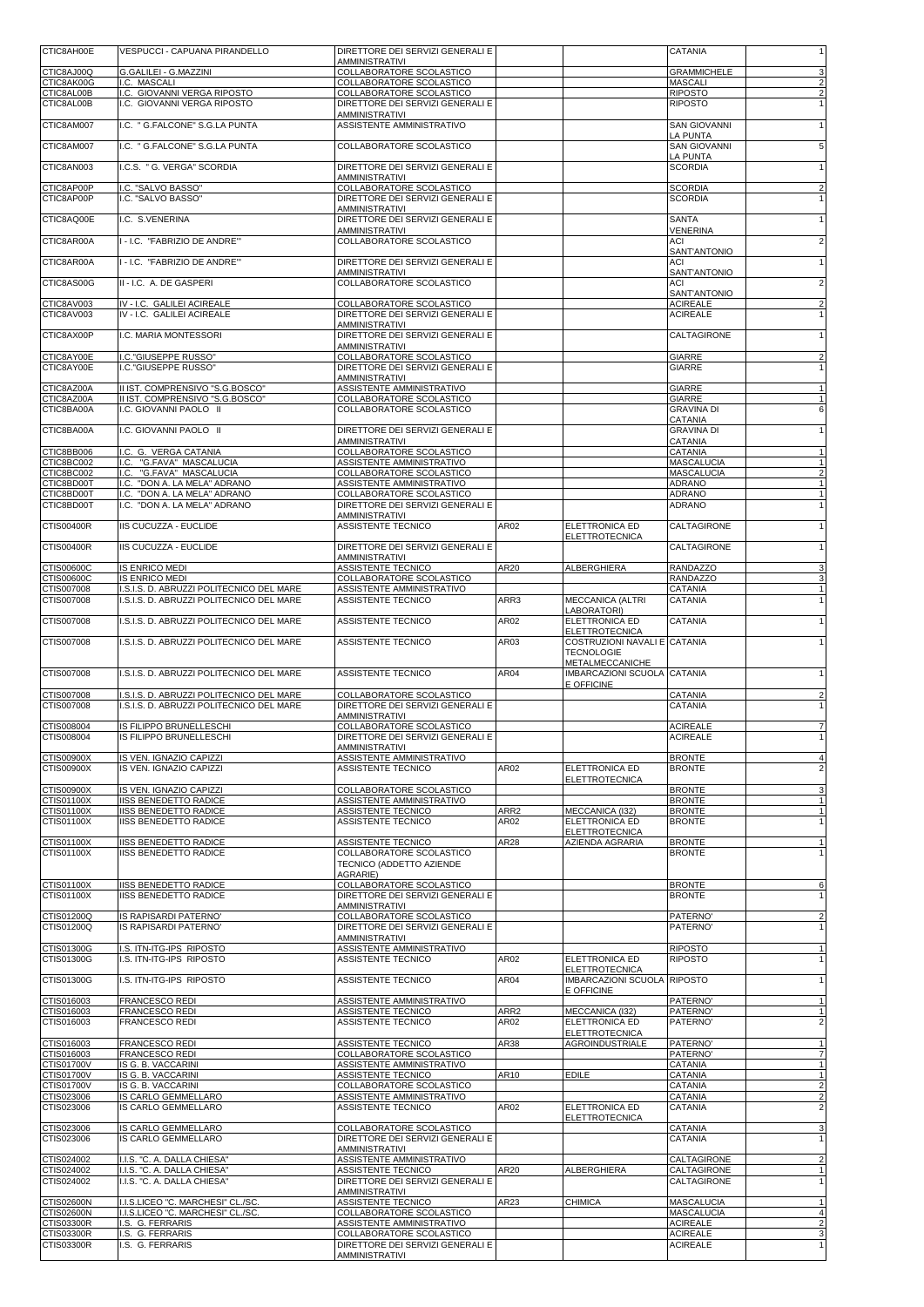| CTIC8AH00E               | VESPUCCI - CAPUANA PIRANDELLO                                                        | DIRETTORE DEI SERVIZI GENERALI E<br>AMMINISTRATIVI                  |                          |                                                       | <b>CATANIA</b>                       |                                           |
|--------------------------|--------------------------------------------------------------------------------------|---------------------------------------------------------------------|--------------------------|-------------------------------------------------------|--------------------------------------|-------------------------------------------|
| CTIC8AJ00Q<br>CTIC8AK00G | G.GALILEI - G.MAZZINI<br>I.C. MASCALI                                                | COLLABORATORE SCOLASTICO<br>COLLABORATORE SCOLASTICO                |                          |                                                       | <b>GRAMMICHELE</b><br><b>MASCALI</b> | 3<br>$\overline{2}$                       |
| CTIC8AL00B               | I.C. GIOVANNI VERGA RIPOSTO                                                          | COLLABORATORE SCOLASTICO                                            |                          |                                                       | <b>RIPOSTO</b>                       | $\overline{2}$                            |
| CTIC8AL00B               | I.C. GIOVANNI VERGA RIPOSTO                                                          | DIRETTORE DEI SERVIZI GENERALI E<br><b>AMMINISTRATIVI</b>           |                          |                                                       | <b>RIPOSTO</b>                       | 1                                         |
| CTIC8AM007               | I.C. " G.FALCONE" S.G.LA PUNTA                                                       | ASSISTENTE AMMINISTRATIVO                                           |                          |                                                       | <b>SAN GIOVANNI</b><br>LA PUNTA      | $\mathbf{1}$                              |
| CTIC8AM007               | I.C. " G.FALCONE" S.G.LA PUNTA                                                       | COLLABORATORE SCOLASTICO                                            |                          |                                                       | <b>SAN GIOVANNI</b>                  | 5                                         |
| CTIC8AN003               | I.C.S. " G. VERGA" SCORDIA                                                           | DIRETTORE DEI SERVIZI GENERALI E                                    |                          |                                                       | LA PUNTA<br><b>SCORDIA</b>           | $\mathbf{1}$                              |
| CTIC8AP00P               | I.C. "SALVO BASSO"                                                                   | <b>AMMINISTRATIVI</b><br>COLLABORATORE SCOLASTICO                   |                          |                                                       | <b>SCORDIA</b>                       | $\overline{2}$                            |
| CTIC8AP00P               | I.C. "SALVO BASSO"                                                                   | DIRETTORE DEI SERVIZI GENERALI E                                    |                          |                                                       | <b>SCORDIA</b>                       | $\mathbf{1}$                              |
| CTIC8AQ00E               | I.C. S.VENERINA                                                                      | <b>AMMINISTRATIVI</b><br>DIRETTORE DEI SERVIZI GENERALI E           |                          |                                                       | <b>SANTA</b>                         | 1                                         |
| CTIC8AR00A               | I - I.C. "FABRIZIO DE ANDRE"                                                         | <b>AMMINISTRATIVI</b><br>COLLABORATORE SCOLASTICO                   |                          |                                                       | <b>VENERINA</b><br><b>ACI</b>        | $\overline{2}$                            |
|                          |                                                                                      |                                                                     |                          |                                                       | SANT'ANTONIO                         |                                           |
| CTIC8AR00A               | I - I.C. "FABRIZIO DE ANDRE"                                                         | DIRETTORE DEI SERVIZI GENERALI E<br><b>AMMINISTRATIVI</b>           |                          |                                                       | ACI<br>SANT'ANTONIO                  | $\mathbf{1}$                              |
| CTIC8AS00G               | II - I.C. A. DE GASPERI                                                              | COLLABORATORE SCOLASTICO                                            |                          |                                                       | ACI<br>SANT'ANTONIO                  | $\overline{2}$                            |
| CTIC8AV003               | IV - I.C. GALILEI ACIREALE                                                           | COLLABORATORE SCOLASTICO                                            |                          |                                                       | <b>ACIREALE</b>                      | $\overline{\mathbf{c}}$                   |
| CTIC8AV003               | IV - I.C. GALILEI ACIREALE                                                           | DIRETTORE DEI SERVIZI GENERALI E<br><b>AMMINISTRATIVI</b>           |                          |                                                       | <b>ACIREALE</b>                      | $\overline{1}$                            |
| CTIC8AX00P               | I.C. MARIA MONTESSORI                                                                | DIRETTORE DEI SERVIZI GENERALI E<br><b>AMMINISTRATIVI</b>           |                          |                                                       | CALTAGIRONE                          | $\mathbf{1}$                              |
| CTIC8AY00E<br>CTIC8AY00E | I.C."GIUSEPPE RUSSO"<br>I.C."GIUSEPPE RUSSO"                                         | <b>COLLABORATORE SCOLASTICO</b><br>DIRETTORE DEI SERVIZI GENERALI E |                          |                                                       | <b>GIARRE</b><br>GIARRE              | $\overline{2}$<br>$\mathbf{1}$            |
|                          |                                                                                      | <b>AMMINISTRATIVI</b>                                               |                          |                                                       |                                      |                                           |
| CTIC8AZ00A<br>CTIC8AZ00A | II IST. COMPRENSIVO "S.G.BOSCO"<br>II IST. COMPRENSIVO "S.G.BOSCO"                   | ASSISTENTE AMMINISTRATIVO<br>COLLABORATORE SCOLASTICO               |                          |                                                       | <b>GIARRE</b><br><b>GIARRE</b>       | $\mathbf{1}$<br>$\overline{1}$            |
| CTIC8BA00A               | I.C. GIOVANNI PAOLO II                                                               | COLLABORATORE SCOLASTICO                                            |                          |                                                       | <b>GRAVINA DI</b><br>CATANIA         | 6                                         |
| CTIC8BA00A               | I.C. GIOVANNI PAOLO II                                                               | DIRETTORE DEI SERVIZI GENERALI E<br><b>AMMINISTRATIVI</b>           |                          |                                                       | <b>GRAVINA DI</b><br>CATANIA         | $\mathbf{1}$                              |
| CTIC8BB006               | I.C. G. VERGA CATANIA                                                                | COLLABORATORE SCOLASTICO                                            |                          |                                                       | CATANIA                              | $\mathbf{1}$                              |
| CTIC8BC002<br>CTIC8BC002 | "G.FAVA" MASCALUCIA<br>I.C.<br>I.C.<br>"G.FAVA" MASCALUCIA                           | ASSISTENTE AMMINISTRATIVO<br>COLLABORATORE SCOLASTICO               |                          |                                                       | MASCALUCIA<br><b>MASCALUCIA</b>      | $\mathbf{1}$<br>$\overline{2}$            |
| CTIC8BD00T<br>CTIC8BD00T | I.C. "DON A. LA MELA" ADRANO<br>"DON A. LA MELA" ADRANO<br>I.C.                      | ASSISTENTE AMMINISTRATIVO<br>COLLABORATORE SCOLASTICO               |                          |                                                       | <b>ADRANO</b><br><b>ADRANO</b>       | $\mathbf{1}$<br>1                         |
| CTIC8BD00T               | I.C. "DON A. LA MELA" ADRANO                                                         | DIRETTORE DEI SERVIZI GENERALI E                                    |                          |                                                       | <b>ADRANO</b>                        | 1                                         |
| CTIS00400R               | IIS CUCUZZA - EUCLIDE                                                                | <b>AMMINISTRATIVI</b><br>ASSISTENTE TECNICO                         | AR02                     | ELETTRONICA ED                                        | CALTAGIRONE                          | $\mathbf{1}$                              |
| CTIS00400R               | IIS CUCUZZA - EUCLIDE                                                                | DIRETTORE DEI SERVIZI GENERALI E                                    |                          | <b>ELETTROTECNICA</b>                                 | CALTAGIRONE                          | $\mathbf{1}$                              |
| <b>CTIS00600C</b>        | <b>IS ENRICO MEDI</b>                                                                | <b>AMMINISTRATIVI</b><br>ASSISTENTE TECNICO                         | AR20                     | ALBERGHIERA                                           | <b>RANDAZZO</b>                      | 3                                         |
| CTIS00600C               | <b>IS ENRICO MEDI</b>                                                                | COLLABORATORE SCOLASTICO                                            |                          |                                                       | <b>RANDAZZO</b>                      | 3                                         |
| CTIS007008<br>CTIS007008 | I.S.I.S. D. ABRUZZI POLITECNICO DEL MARE<br>I.S.I.S. D. ABRUZZI POLITECNICO DEL MARE | ASSISTENTE AMMINISTRATIVO<br>ASSISTENTE TECNICO                     | ARR3                     | MECCANICA (ALTRI                                      | CATANIA<br>CATANIA                   | $\mathbf{1}$<br>$\mathbf{1}$              |
| CTIS007008               | I.S.I.S. D. ABRUZZI POLITECNICO DEL MARE                                             | ASSISTENTE TECNICO                                                  | AR02                     | LABORATORI)<br>ELETTRONICA ED                         | CATANIA                              | 1                                         |
| CTIS007008               |                                                                                      |                                                                     | AR03                     | <b>ELETTROTECNICA</b><br>COSTRUZIONI NAVALI E CATANIA |                                      |                                           |
|                          | I.S.I.S. D. ABRUZZI POLITECNICO DEL MARE                                             | ASSISTENTE TECNICO                                                  |                          | <b>TECNOLOGIE</b>                                     |                                      | $\mathbf{1}$                              |
| CTIS007008               | I.S.I.S. D. ABRUZZI POLITECNICO DEL MARE                                             | ASSISTENTE TECNICO                                                  | AR04                     | METALMECCANICHE<br>IMBARCAZIONI SCUOLA CATANIA        |                                      | $\mathbf{1}$                              |
| CTIS007008               | I.S.I.S. D. ABRUZZI POLITECNICO DEL MARE                                             | COLLABORATORE SCOLASTICO                                            |                          | E OFFICINE                                            | CATANIA                              | $\overline{\mathbf{c}}$                   |
| CTIS007008               | I.S.I.S. D. ABRUZZI POLITECNICO DEL MARE                                             | DIRETTORE DEI SERVIZI GENERALI E                                    |                          |                                                       | CATANIA                              | $\mathbf{1}$                              |
| CTIS008004               | IS FILIPPO BRUNELLESCHI                                                              | <b>AMMINISTRATIVI</b><br>COLLABORATORE SCOLASTICO                   |                          |                                                       | <b>ACIREALE</b>                      | $\overline{7}$                            |
| CTIS008004               | IS FILIPPO BRUNELLESCHI                                                              | DIRETTORE DEI SERVIZI GENERALI E<br>AMMINISTRATIVI                  |                          |                                                       | <b>ACIREALE</b>                      | 1                                         |
| CTIS00900X<br>CTIS00900X | IS VEN. IGNAZIO CAPIZZI<br>IS VEN. IGNAZIO CAPIZZI                                   | ASSISTENTE AMMINISTRATIVO<br>ASSISTENTE TECNICO                     | AR02                     | ELETTRONICA ED                                        | <b>BRONTE</b><br><b>BRONTE</b>       | $\overline{4}$<br>$\overline{2}$          |
|                          |                                                                                      |                                                                     |                          | <b>ELETTROTECNICA</b>                                 |                                      |                                           |
| CTIS00900X<br>CTIS01100X | IS VEN. IGNAZIO CAPIZZI<br><b>IISS BENEDETTO RADICE</b>                              | COLLABORATORE SCOLASTICO<br>ASSISTENTE AMMINISTRATIVO               |                          |                                                       | <b>BRONTE</b><br><b>BRONTE</b>       | 3<br>$\mathbf{1}$                         |
| CTIS01100X<br>CTIS01100X | <b>IISS BENEDETTO RADICE</b><br><b>IISS BENEDETTO RADICE</b>                         | ASSISTENTE TECNICO<br>ASSISTENTE TECNICO                            | ARR2<br>AR02             | MECCANICA (132)<br><b>ELETTRONICA ED</b>              | <b>BRONTE</b><br><b>BRONTE</b>       | $\mathbf{1}$<br>1                         |
| CTIS01100X               | <b>IISS BENEDETTO RADICE</b>                                                         | ASSISTENTE TECNICO                                                  | AR28                     | <b>ELETTROTECNICA</b><br>AZIENDA AGRARIA              | <b>BRONTE</b>                        | $\mathbf{1}$                              |
| CTIS01100X               | <b>IISS BENEDETTO RADICE</b>                                                         | COLLABORATORE SCOLASTICO                                            |                          |                                                       | <b>BRONTE</b>                        | 1                                         |
|                          |                                                                                      | TECNICO (ADDETTO AZIENDE<br>AGRARIE)                                |                          |                                                       |                                      |                                           |
| CTIS01100X<br>CTIS01100X | <b>IISS BENEDETTO RADICE</b><br><b>IISS BENEDETTO RADICE</b>                         | COLLABORATORE SCOLASTICO<br>DIRETTORE DEI SERVIZI GENERALI E        |                          |                                                       | <b>BRONTE</b><br><b>BRONTE</b>       | 6<br>1                                    |
|                          |                                                                                      | <b>AMMINISTRATIVI</b>                                               |                          |                                                       |                                      |                                           |
| CTIS01200Q<br>CTIS01200Q | IS RAPISARDI PATERNO'<br>IS RAPISARDI PATERNO'                                       | COLLABORATORE SCOLASTICO<br>DIRETTORE DEI SERVIZI GENERALI E        |                          |                                                       | PATERNO'<br>PATERNO'                 | $\overline{\mathbf{c}}$<br>1              |
| CTIS01300G               | I.S. ITN-ITG-IPS RIPOSTO                                                             | <b>AMMINISTRATIVI</b><br>ASSISTENTE AMMINISTRATIVO                  |                          |                                                       | <b>RIPOSTO</b>                       | $\overline{1}$                            |
| CTIS01300G               | I.S. ITN-ITG-IPS RIPOSTO                                                             | ASSISTENTE TECNICO                                                  | AR02                     | <b>ELETTRONICA ED</b><br><b>ELETTROTECNICA</b>        | <b>RIPOSTO</b>                       | $\mathbf{1}$                              |
| CTIS01300G               | I.S. ITN-ITG-IPS RIPOSTO                                                             | ASSISTENTE TECNICO                                                  | AR04                     | IMBARCAZIONI SCUOLA RIPOSTO<br>E OFFICINE             |                                      | $\mathbf{1}$                              |
| CTIS016003               | <b>FRANCESCO REDI</b>                                                                | ASSISTENTE AMMINISTRATIVO                                           |                          |                                                       | PATERNO'                             | $\mathbf{1}$                              |
| CTIS016003<br>CTIS016003 | FRANCESCO REDI<br><b>FRANCESCO REDI</b>                                              | ASSISTENTE TECNICO<br>ASSISTENTE TECNICO                            | ARR <sub>2</sub><br>AR02 | MECCANICA (I32)<br><b>ELETTRONICA ED</b>              | PATERNO'<br>PATERNO'                 | 1<br>$\overline{2}$                       |
| CTIS016003               | <b>FRANCESCO REDI</b>                                                                | ASSISTENTE TECNICO                                                  | AR38                     | <b>ELETTROTECNICA</b><br><b>AGROINDUSTRIALE</b>       | PATERNO'                             | $\mathbf{1}$                              |
| CTIS016003               | FRANCESCO REDI                                                                       | COLLABORATORE SCOLASTICO                                            |                          |                                                       | PATERNO'                             | 7                                         |
| CTIS01700V<br>CTIS01700V | IS G. B. VACCARINI<br>IS G. B. VACCARINI                                             | ASSISTENTE AMMINISTRATIVO<br>ASSISTENTE TECNICO                     | AR10                     | <b>EDILE</b>                                          | CATANIA<br>CATANIA                   | $\overline{1}$<br>$\mathbf{1}$            |
| CTIS01700V<br>CTIS023006 | IS G. B. VACCARINI<br>IS CARLO GEMMELLARO                                            | COLLABORATORE SCOLASTICO<br>ASSISTENTE AMMINISTRATIVO               |                          |                                                       | CATANIA<br>CATANIA                   | $\overline{\mathbf{c}}$<br>$\overline{2}$ |
| CTIS023006               | IS CARLO GEMMELLARO                                                                  | ASSISTENTE TECNICO                                                  | AR02                     | ELETTRONICA ED                                        | CATANIA                              | $\overline{2}$                            |
| CTIS023006               | IS CARLO GEMMELLARO                                                                  | COLLABORATORE SCOLASTICO                                            |                          | <b>ELETTROTECNICA</b>                                 | CATANIA                              | 3                                         |
| CTIS023006               | IS CARLO GEMMELLARO                                                                  | DIRETTORE DEI SERVIZI GENERALI E<br><b>AMMINISTRATIVI</b>           |                          |                                                       | CATANIA                              | $\mathbf{1}$                              |
| CTIS024002<br>CTIS024002 | I.I.S. "C. A. DALLA CHIESA"<br>I.I.S. "C. A. DALLA CHIESA"                           | ASSISTENTE AMMINISTRATIVO<br>ASSISTENTE TECNICO                     | AR20                     | ALBERGHIERA                                           | CALTAGIRONE<br>CALTAGIRONE           | $\overline{2}$<br>$\mathbf{1}$            |
| CTIS024002               | I.I.S. "C. A. DALLA CHIESA"                                                          | DIRETTORE DEI SERVIZI GENERALI E                                    |                          |                                                       | CALTAGIRONE                          | $\mathbf{1}$                              |
| CTIS02600N               | I.I.S.LICEO "C. MARCHESI" CL./SC.                                                    | <b>AMMINISTRATIVI</b><br>ASSISTENTE TECNICO                         | AR23                     | <b>CHIMICA</b>                                        | <b>MASCALUCIA</b>                    | $\mathbf{1}$                              |
| CTIS02600N<br>CTIS03300R | I.I.S.LICEO "C. MARCHESI" CL./SC.<br>I.S. G. FERRARIS                                | COLLABORATORE SCOLASTICO<br>ASSISTENTE AMMINISTRATIVO               |                          |                                                       | <b>MASCALUCIA</b><br><b>ACIREALE</b> | 4<br>$\overline{2}$                       |
| CTIS03300R<br>CTIS03300R | I.S. G. FERRARIS<br>I.S. G. FERRARIS                                                 | COLLABORATORE SCOLASTICO<br>DIRETTORE DEI SERVIZI GENERALI E        |                          |                                                       | <b>ACIREALE</b><br><b>ACIREALE</b>   | 3<br>1                                    |
|                          |                                                                                      | <b>AMMINISTRATIVI</b>                                               |                          |                                                       |                                      |                                           |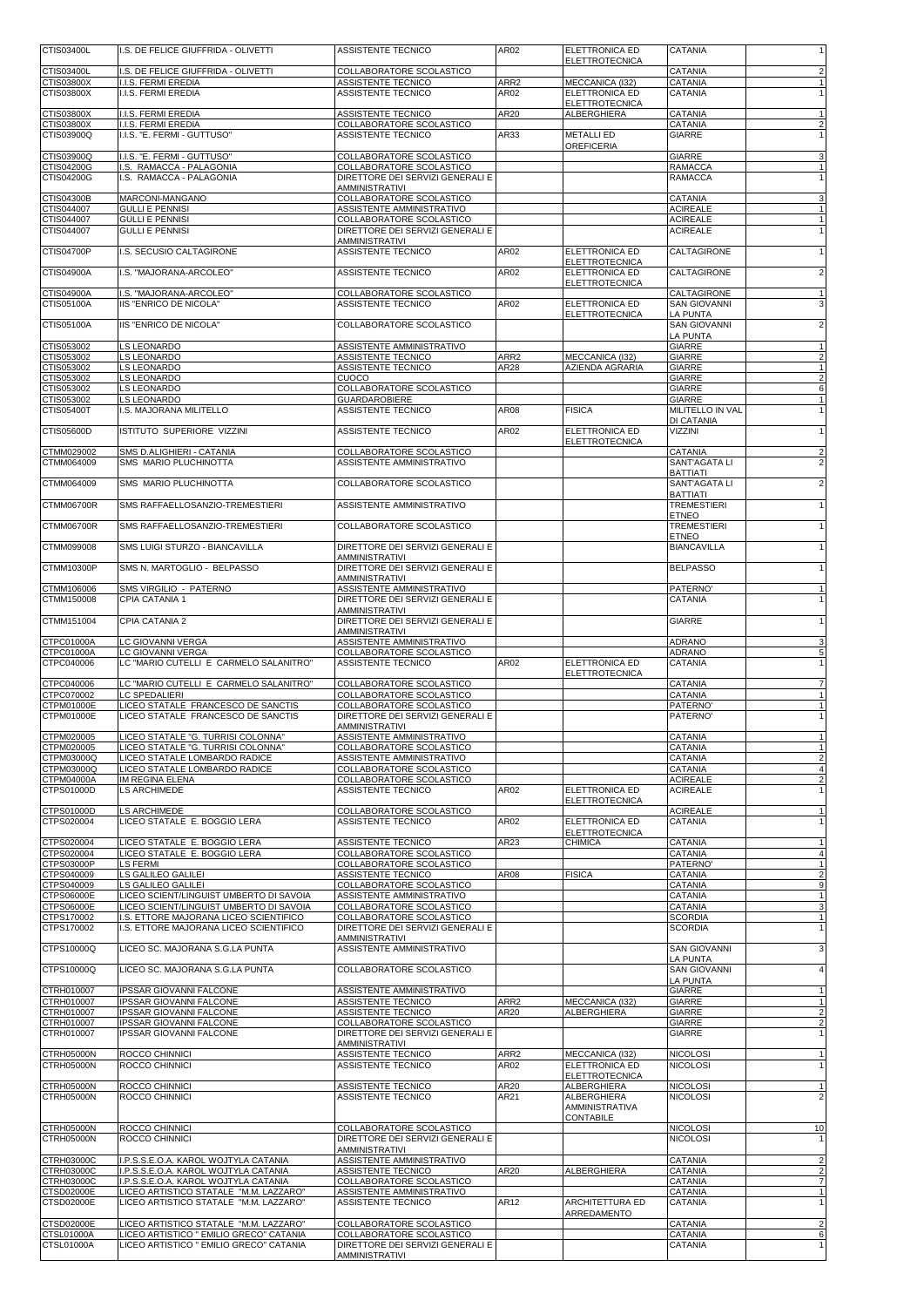| CTIS03400L                      | I.S. DE FELICE GIUFFRIDA - OLIVETTI                                                | ASSISTENTE TECNICO                                           | AR02         | <b>ELETTRONICA ED</b><br><b>ELETTROTECNICA</b> | <b>CATANIA</b>                     | $\mathbf{1}$                              |
|---------------------------------|------------------------------------------------------------------------------------|--------------------------------------------------------------|--------------|------------------------------------------------|------------------------------------|-------------------------------------------|
| CTIS03400L<br>CTIS03800X        | I.S. DE FELICE GIUFFRIDA - OLIVETTI<br>I.I.S. FERMI EREDIA                         | COLLABORATORE SCOLASTICO<br>ASSISTENTE TECNICO               | ARR2         | MECCANICA (I32)                                | CATANIA<br>CATANIA                 | $\overline{2}$<br>$\mathbf{1}$            |
| CTIS03800X                      | I.I.S. FERMI EREDIA                                                                | ASSISTENTE TECNICO                                           | AR02         | <b>ELETTRONICA ED</b><br><b>ELETTROTECNICA</b> | CATANIA                            | $\mathbf{1}$                              |
| CTIS03800X                      | I.I.S. FERMI EREDIA                                                                | ASSISTENTE TECNICO                                           | AR20         | ALBERGHIERA                                    | CATANIA                            |                                           |
| CTIS03800X<br>CTIS03900Q        | I.I.S. FERMI EREDIA<br>I.I.S. "E. FERMI - GUTTUSO"                                 | COLLABORATORE SCOLASTICO<br><b>ASSISTENTE TECNICO</b>        | AR33         | <b>METALLI ED</b>                              | CATANIA<br>GIARRE                  | $\overline{2}$                            |
| CTIS03900Q                      | I.I.S. "E. FERMI - GUTTUSO"                                                        | COLLABORATORE SCOLASTICO                                     |              | <b>OREFICERIA</b>                              | <b>GIARRE</b>                      | 3                                         |
| CTIS04200G<br>CTIS04200G        | I.S. RAMACCA - PALAGONIA<br>I.S. RAMACCA - PALAGONIA                               | COLLABORATORE SCOLASTICO<br>DIRETTORE DEI SERVIZI GENERALI E |              |                                                | RAMACCA<br><b>RAMACCA</b>          | 1<br>$\mathbf{1}$                         |
|                                 |                                                                                    | <b>AMMINISTRATIVI</b>                                        |              |                                                |                                    |                                           |
| CTIS04300B<br>CTIS044007        | MARCONI-MANGANO<br><b>GULLI E PENNISI</b>                                          | COLLABORATORE SCOLASTICO<br>ASSISTENTE AMMINISTRATIVO        |              |                                                | CATANIA<br><b>ACIREALE</b>         | 3<br>$\mathbf{1}$                         |
| CTIS044007<br>CTIS044007        | <b>GULLI E PENNISI</b><br><b>GULLI E PENNISI</b>                                   | COLLABORATORE SCOLASTICO<br>DIRETTORE DEI SERVIZI GENERALI E |              |                                                | <b>ACIREALE</b><br><b>ACIREALE</b> | $\overline{1}$                            |
| <b>CTIS04700P</b>               | I.S. SECUSIO CALTAGIRONE                                                           | <b>AMMINISTRATIVI</b><br>ASSISTENTE TECNICO                  | AR02         | <b>ELETTRONICA ED</b>                          | CALTAGIRONE                        | $\mathbf{1}$                              |
| CTIS04900A                      | I.S. "MAJORANA-ARCOLEO"                                                            | ASSISTENTE TECNICO                                           | AR02         | <b>ELETTROTECNICA</b><br><b>ELETTRONICA ED</b> | CALTAGIRONE                        | $\overline{\mathbf{c}}$                   |
|                                 |                                                                                    |                                                              |              | <b>ELETTROTECNICA</b>                          |                                    |                                           |
| CTIS04900A<br>CTIS05100A        | I.S. "MAJORANA-ARCOLEO"<br>IIS "ENRICO DE NICOLA"                                  | COLLABORATORE SCOLASTICO<br>ASSISTENTE TECNICO               | AR02         | ELETTRONICA ED                                 | CALTAGIRONE<br><b>SAN GIOVANNI</b> | $\mathbf{1}$<br>3                         |
| CTIS05100A                      | IIS "ENRICO DE NICOLA"                                                             | COLLABORATORE SCOLASTICO                                     |              | <b>ELETTROTECNICA</b>                          | LA PUNTA<br><b>SAN GIOVANNI</b>    | $\overline{\mathbf{c}}$                   |
| CTIS053002                      | LS LEONARDO                                                                        | ASSISTENTE AMMINISTRATIVO                                    |              |                                                | <b>LA PUNTA</b><br>GIARRE          | $\mathbf{1}$                              |
| CTIS053002<br>CTIS053002        | LS LEONARDO<br>LS LEONARDO                                                         | ASSISTENTE TECNICO<br>ASSISTENTE TECNICO                     | ARR2<br>AR28 | MECCANICA (I32)<br>AZIENDA AGRARIA             | GIARRE<br>GIARRE                   | $\overline{\mathbf{c}}$<br>$\mathbf{1}$   |
| CTIS053002                      | LS LEONARDO                                                                        | CUOCO                                                        |              |                                                | <b>GIARRE</b>                      | $\overline{2}$                            |
| CTIS053002<br>CTIS053002        | LS LEONARDO<br>LS LEONARDO                                                         | COLLABORATORE SCOLASTICO<br><b>GUARDAROBIERE</b>             |              |                                                | GIARRE<br><b>GIARRE</b>            | 6<br>1                                    |
| CTIS05400T                      | I.S. MAJORANA MILITELLO                                                            | ASSISTENTE TECNICO                                           | AR08         | <b>FISICA</b>                                  | MILITELLO IN VAL<br>DI CATANIA     | $\mathbf{1}$                              |
| CTIS05600D                      | ISTITUTO SUPERIORE VIZZINI                                                         | ASSISTENTE TECNICO                                           | AR02         | <b>ELETTRONICA ED</b><br><b>ELETTROTECNICA</b> | <b>VIZZINI</b>                     | $\mathbf{1}$                              |
| CTMM029002<br>CTMM064009        | SMS D.ALIGHIERI - CATANIA<br>SMS MARIO PLUCHINOTTA                                 | COLLABORATORE SCOLASTICO<br>ASSISTENTE AMMINISTRATIVO        |              |                                                | CATANIA<br>SANT'AGATA LI           | $\overline{2}$<br>$\overline{2}$          |
|                                 |                                                                                    |                                                              |              |                                                | <b>BATTIATI</b>                    |                                           |
| CTMM064009                      | SMS MARIO PLUCHINOTTA                                                              | COLLABORATORE SCOLASTICO                                     |              |                                                | SANT'AGATA LI<br><b>BATTIATI</b>   | $\overline{2}$                            |
| CTMM06700R                      | SMS RAFFAELLOSANZIO-TREMESTIERI                                                    | ASSISTENTE AMMINISTRATIVO                                    |              |                                                | <b>TREMESTIERI</b><br><b>ETNEO</b> | $\mathbf{1}$                              |
| CTMM06700R                      | SMS RAFFAELLOSANZIO-TREMESTIERI                                                    | COLLABORATORE SCOLASTICO                                     |              |                                                | <b>TREMESTIERI</b><br><b>ETNEO</b> | 1                                         |
| CTMM099008                      | SMS LUIGI STURZO - BIANCAVILLA                                                     | DIRETTORE DEI SERVIZI GENERALI E<br>AMMINISTRATIVI           |              |                                                | <b>BIANCAVILLA</b>                 | $\mathbf{1}$                              |
| CTMM10300P                      | SMS N. MARTOGLIO - BELPASSO                                                        | DIRETTORE DEI SERVIZI GENERALI E                             |              |                                                | <b>BELPASSO</b>                    | $\mathbf{1}$                              |
| CTMM106006                      | SMS VIRGILIO - PATERNO                                                             | AMMINISTRATIVI<br>ASSISTENTE AMMINISTRATIVO                  |              |                                                | PATERNO'                           |                                           |
| CTMM150008                      | CPIA CATANIA 1                                                                     | DIRETTORE DEI SERVIZI GENERALI E<br><b>AMMINISTRATIVI</b>    |              |                                                | CATANIA                            | 1                                         |
| CTMM151004                      | CPIA CATANIA 2                                                                     | DIRETTORE DEI SERVIZI GENERALI E<br><b>AMMINISTRATIVI</b>    |              |                                                | <b>GIARRE</b>                      | $\mathbf{1}$                              |
| CTPC01000A<br>CTPC01000A        | LC GIOVANNI VERGA<br>LC GIOVANNI VERGA                                             | ASSISTENTE AMMINISTRATIVO<br>COLLABORATORE SCOLASTICO        |              |                                                | ADRANO<br><b>ADRANO</b>            | 3<br>5                                    |
| CTPC040006                      | LC "MARIO CUTELLI E CARMELO SALANITRO"                                             | ASSISTENTE TECNICO                                           | AR02         | <b>ELETTRONICA ED</b><br><b>ELETTROTECNICA</b> | CATANIA                            | $\mathbf{1}$                              |
| CTPC040006<br>CTPC070002        | LC "MARIO CUTELLI E CARMELO SALANITRO"<br>LC SPEDALIERI                            | COLLABORATORE SCOLASTICO                                     |              |                                                | CATANIA<br><b>CATANIA</b>          | $\overline{7}$<br>$\overline{1}$          |
| CTPM01000E                      | LICEO STATALE FRANCESCO DE SANCTIS                                                 | COLLABORATORE SCOLASTICO<br>COLLABORATORE SCOLASTICO         |              |                                                | PATERNO'                           | $\mathbf{1}$                              |
| CTPM01000E                      | LICEO STATALE FRANCESCO DE SANCTIS                                                 | DIRETTORE DEI SERVIZI GENERALI E<br><b>AMMINISTRATIVI</b>    |              |                                                | PATERNO'                           | 1                                         |
| CTPM020005<br>CTPM020005        | LICEO STATALE "G. TURRISI COLONNA"<br>LICEO STATALE "G. TURRISI COLONNA"           | ASSISTENTE AMMINISTRATIVO<br>COLLABORATORE SCOLASTICO        |              |                                                | CATANIA<br><b>CATANIA</b>          | -1                                        |
| CTPM03000Q<br>CTPM03000Q        | LICEO STATALE LOMBARDO RADICE<br>LICEO STATALE LOMBARDO RADICE                     | ASSISTENTE AMMINISTRATIVO<br>COLLABORATORE SCOLASTICO        |              |                                                | CATANIA<br><b>CATANIA</b>          | $\overline{\mathbf{c}}$<br>$\overline{4}$ |
| CTPM04000A<br>CTPS01000D        | <b>IM REGINA ELENA</b><br>LS ARCHIMEDE                                             | COLLABORATORE SCOLASTICO<br>ASSISTENTE TECNICO               | AR02         | ELETTRONICA ED                                 | <b>ACIREALE</b><br><b>ACIREALE</b> | $\overline{2}$<br>$\mathbf{1}$            |
|                                 |                                                                                    |                                                              |              | <b>ELETTROTECNICA</b>                          | <b>ACIREALE</b>                    |                                           |
| CTPS01000D<br>CTPS020004        | LS ARCHIMEDE<br>LICEO STATALE E. BOGGIO LERA                                       | COLLABORATORE SCOLASTICO<br><b>ASSISTENTE TECNICO</b>        | AR02         | ELETTRONICA ED                                 | CATANIA                            | $\overline{1}$<br>1                       |
| CTPS020004                      | LICEO STATALE E. BOGGIO LERA                                                       | ASSISTENTE TECNICO                                           | AR23         | <b>ELETTROTECNICA</b><br><b>CHIMICA</b>        | CATANIA                            | $\overline{1}$                            |
| CTPS020004<br>CTPS03000P        | LICEO STATALE E. BOGGIO LERA<br><b>LS FERMI</b>                                    | COLLABORATORE SCOLASTICO<br>COLLABORATORE SCOLASTICO         |              |                                                | CATANIA<br>PATERNO'                | 4<br>1                                    |
| CTPS040009<br>CTPS040009        | LS GALILEO GALILEI<br>LS GALILEO GALILEI                                           | ASSISTENTE TECNICO<br>COLLABORATORE SCOLASTICO               | AR08         | <b>FISICA</b>                                  | CATANIA<br><b>CATANIA</b>          | $\overline{2}$<br>9                       |
| CTPS06000E                      | LICEO SCIENT/LINGUIST UMBERTO DI SAVOIA                                            | ASSISTENTE AMMINISTRATIVO                                    |              |                                                | CATANIA                            |                                           |
| CTPS06000E<br>CTPS170002        | LICEO SCIENT/LINGUIST UMBERTO DI SAVOIA<br>I.S. ETTORE MAJORANA LICEO SCIENTIFICO  | COLLABORATORE SCOLASTICO<br>COLLABORATORE SCOLASTICO         |              |                                                | CATANIA<br><b>SCORDIA</b>          | 3<br>$\overline{1}$                       |
| CTPS170002                      | I.S. ETTORE MAJORANA LICEO SCIENTIFICO                                             | DIRETTORE DEI SERVIZI GENERALI E<br><b>AMMINISTRATIVI</b>    |              |                                                | <b>SCORDIA</b>                     | 1                                         |
| CTPS10000Q                      | LICEO SC. MAJORANA S.G.LA PUNTA                                                    | ASSISTENTE AMMINISTRATIVO                                    |              |                                                | <b>SAN GIOVANNI</b><br>LA PUNTA    | 3                                         |
| CTPS10000Q                      | LICEO SC. MAJORANA S.G.LA PUNTA                                                    | COLLABORATORE SCOLASTICO                                     |              |                                                | <b>SAN GIOVANNI</b><br>LA PUNTA    | 4                                         |
| CTRH010007                      | IPSSAR GIOVANNI FALCONE                                                            | ASSISTENTE AMMINISTRATIVO                                    |              |                                                | <b>GIARRE</b>                      | $\mathbf{1}$                              |
| CTRH010007<br>CTRH010007        | <b>IPSSAR GIOVANNI FALCONE</b><br>IPSSAR GIOVANNI FALCONE                          | ASSISTENTE TECNICO<br>ASSISTENTE TECNICO                     | ARR2<br>AR20 | MECCANICA (I32)<br>ALBERGHIERA                 | <b>GIARRE</b><br>GIARRE            | $\overline{1}$                            |
| CTRH010007<br>CTRH010007        | <b>IPSSAR GIOVANNI FALCONE</b><br><b>IPSSAR GIOVANNI FALCONE</b>                   | COLLABORATORE SCOLASTICO<br>DIRETTORE DEI SERVIZI GENERALI E |              |                                                | <b>GIARRE</b><br>GIARRE            | $\overline{c}$<br>1                       |
| <b>CTRH05000N</b>               | ROCCO CHINNICI                                                                     | <b>AMMINISTRATIVI</b><br>ASSISTENTE TECNICO                  | ARR2         | MECCANICA (I32)                                | <b>NICOLOSI</b>                    | $\mathbf{1}$                              |
| CTRH05000N                      | ROCCO CHINNICI                                                                     | ASSISTENTE TECNICO                                           | AR02         | <b>ELETTRONICA ED</b><br><b>ELETTROTECNICA</b> | <b>NICOLOSI</b>                    | 1                                         |
| CTRH05000N<br><b>CTRH05000N</b> | ROCCO CHINNICI<br>ROCCO CHINNICI                                                   | ASSISTENTE TECNICO<br>ASSISTENTE TECNICO                     | AR20<br>AR21 | ALBERGHIERA<br>ALBERGHIERA                     | <b>NICOLOSI</b><br><b>NICOLOSI</b> | $\mathbf{1}$<br>$\overline{2}$            |
|                                 |                                                                                    |                                                              |              | <b>AMMINISTRATIVA</b>                          |                                    |                                           |
| CTRH05000N                      | ROCCO CHINNICI                                                                     | COLLABORATORE SCOLASTICO                                     |              | <b>CONTABILE</b>                               | <b>NICOLOSI</b>                    | 10                                        |
| CTRH05000N                      | ROCCO CHINNICI                                                                     | DIRETTORE DEI SERVIZI GENERALI E<br><b>AMMINISTRATIVI</b>    |              |                                                | <b>NICOLOSI</b>                    | 1                                         |
| CTRH03000C<br>CTRH03000C        | I.P.S.S.E.O.A. KAROL WOJTYLA CATANIA<br>I.P.S.S.E.O.A. KAROL WOJTYLA CATANIA       | ASSISTENTE AMMINISTRATIVO<br>ASSISTENTE TECNICO              | AR20         | ALBERGHIERA                                    | CATANIA<br>CATANIA                 | $\overline{2}$<br>$\overline{\mathbf{c}}$ |
| CTRH03000C<br>CTSD02000E        | I.P.S.S.E.O.A. KAROL WOJTYLA CATANIA<br>LICEO ARTISTICO STATALE "M.M. LAZZARO"     | COLLABORATORE SCOLASTICO<br>ASSISTENTE AMMINISTRATIVO        |              |                                                | CATANIA<br>CATANIA                 | 7<br>$\overline{1}$                       |
| CTSD02000E                      | LICEO ARTISTICO STATALE "M.M. LAZZARO"                                             | ASSISTENTE TECNICO                                           | AR12         | ARCHITETTURA ED                                | CATANIA                            | $\mathbf{1}$                              |
| CTSD02000E                      | LICEO ARTISTICO STATALE "M.M. LAZZARO"                                             | COLLABORATORE SCOLASTICO                                     |              | ARREDAMENTO                                    | CATANIA                            | $\overline{2}$                            |
| CTSL01000A<br>CTSL01000A        | LICEO ARTISTICO " EMILIO GRECO" CATANIA<br>LICEO ARTISTICO " EMILIO GRECO" CATANIA | COLLABORATORE SCOLASTICO<br>DIRETTORE DEI SERVIZI GENERALI E |              |                                                | CATANIA<br>CATANIA                 | 6                                         |
|                                 |                                                                                    | AMMINISTRATIVI                                               |              |                                                |                                    |                                           |